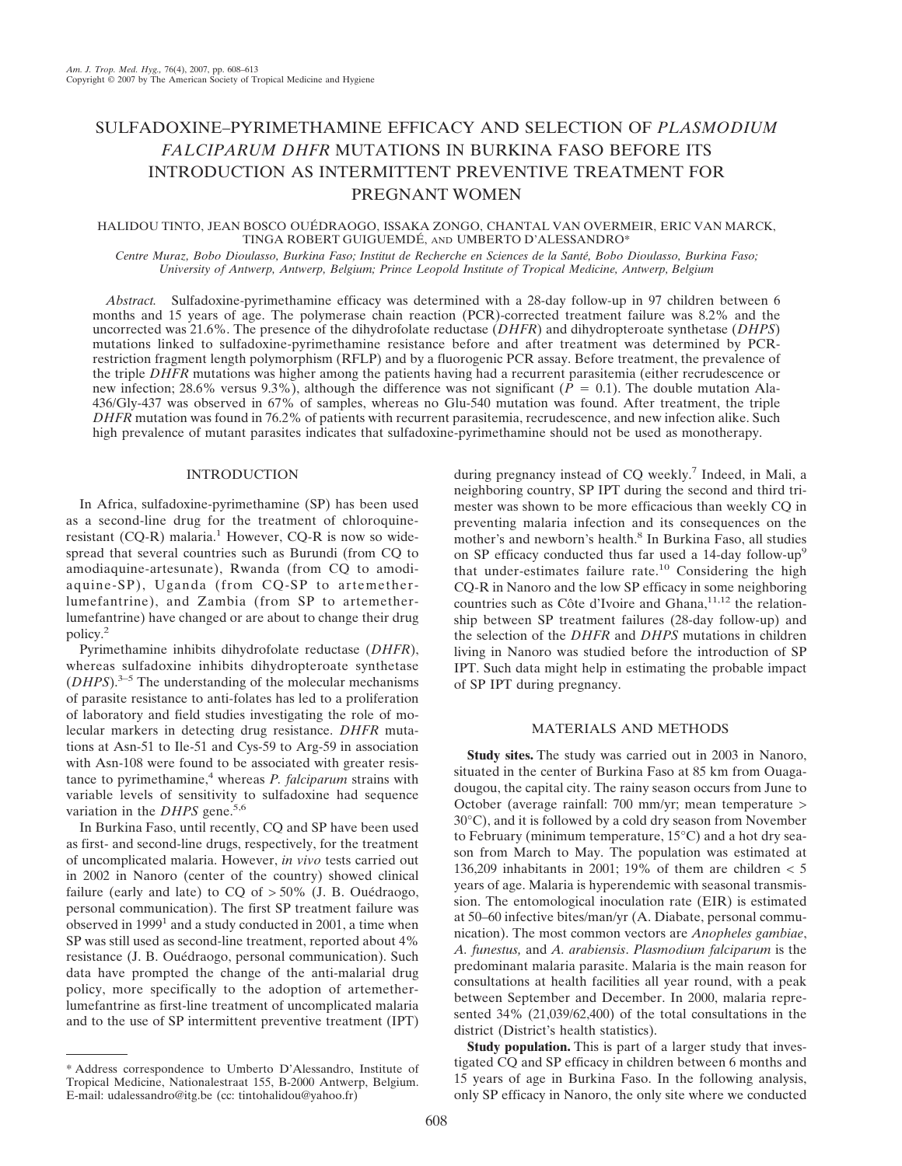# SULFADOXINE–PYRIMETHAMINE EFFICACY AND SELECTION OF *PLASMODIUM FALCIPARUM DHFR* MUTATIONS IN BURKINA FASO BEFORE ITS INTRODUCTION AS INTERMITTENT PREVENTIVE TREATMENT FOR PREGNANT WOMEN

## HALIDOU TINTO, JEAN BOSCO OUÉDRAOGO, ISSAKA ZONGO, CHANTAL VAN OVERMEIR, ERIC VAN MARCK, TINGA ROBERT GUIGUEMDÉ, AND UMBERTO D'ALESSANDRO\*

*Centre Muraz, Bobo Dioulasso, Burkina Faso; Institut de Recherche en Sciences de la Santé, Bobo Dioulasso, Burkina Faso; University of Antwerp, Antwerp, Belgium; Prince Leopold Institute of Tropical Medicine, Antwerp, Belgium*

*Abstract.* Sulfadoxine-pyrimethamine efficacy was determined with a 28-day follow-up in 97 children between 6 months and 15 years of age. The polymerase chain reaction (PCR)-corrected treatment failure was 8.2% and the uncorrected was 21.6%. The presence of the dihydrofolate reductase (*DHFR*) and dihydropteroate synthetase (*DHPS*) mutations linked to sulfadoxine-pyrimethamine resistance before and after treatment was determined by PCRrestriction fragment length polymorphism (RFLP) and by a fluorogenic PCR assay. Before treatment, the prevalence of the triple *DHFR* mutations was higher among the patients having had a recurrent parasitemia (either recrudescence or new infection; 28.6% versus 9.3%), although the difference was not significant ( $\bar{P} = 0.1$ ). The double mutation Ala-436/Gly-437 was observed in 67% of samples, whereas no Glu-540 mutation was found. After treatment, the triple *DHFR* mutation was found in 76.2% of patients with recurrent parasitemia, recrudescence, and new infection alike. Such high prevalence of mutant parasites indicates that sulfadoxine-pyrimethamine should not be used as monotherapy.

## INTRODUCTION

In Africa, sulfadoxine-pyrimethamine (SP) has been used as a second-line drug for the treatment of chloroquineresistant (CQ-R) malaria.<sup>1</sup> However, CQ-R is now so widespread that several countries such as Burundi (from CQ to amodiaquine-artesunate), Rwanda (from CQ to amodiaquine-SP), Uganda (from CQ-SP to artemetherlumefantrine), and Zambia (from SP to artemetherlumefantrine) have changed or are about to change their drug policy.<sup>2</sup>

Pyrimethamine inhibits dihydrofolate reductase (*DHFR*), whereas sulfadoxine inhibits dihydropteroate synthetase (*DHPS*).3–5 The understanding of the molecular mechanisms of parasite resistance to anti-folates has led to a proliferation of laboratory and field studies investigating the role of molecular markers in detecting drug resistance. *DHFR* mutations at Asn-51 to Ile-51 and Cys-59 to Arg-59 in association with Asn-108 were found to be associated with greater resistance to pyrimethamine,<sup>4</sup> whereas *P. falciparum* strains with variable levels of sensitivity to sulfadoxine had sequence variation in the *DHPS* gene.<sup>5,6</sup>

In Burkina Faso, until recently, CQ and SP have been used as first- and second-line drugs, respectively, for the treatment of uncomplicated malaria. However, *in vivo* tests carried out in 2002 in Nanoro (center of the country) showed clinical failure (early and late) to  $CQ$  of  $> 50\%$  (J. B. Ouédraogo, personal communication). The first SP treatment failure was observed in  $1999<sup>1</sup>$  and a study conducted in 2001, a time when SP was still used as second-line treatment, reported about 4% resistance (J. B. Ouédraogo, personal communication). Such data have prompted the change of the anti-malarial drug policy, more specifically to the adoption of artemetherlumefantrine as first-line treatment of uncomplicated malaria and to the use of SP intermittent preventive treatment (IPT) during pregnancy instead of CQ weekly.<sup>7</sup> Indeed, in Mali, a neighboring country, SP IPT during the second and third trimester was shown to be more efficacious than weekly CQ in preventing malaria infection and its consequences on the mother's and newborn's health.<sup>8</sup> In Burkina Faso, all studies on SP efficacy conducted thus far used a 14-day follow-up<sup>9</sup> that under-estimates failure rate.<sup>10</sup> Considering the high CQ-R in Nanoro and the low SP efficacy in some neighboring countries such as Côte d'Ivoire and Ghana, $11,12$  the relationship between SP treatment failures (28-day follow-up) and the selection of the *DHFR* and *DHPS* mutations in children living in Nanoro was studied before the introduction of SP IPT. Such data might help in estimating the probable impact of SP IPT during pregnancy.

## MATERIALS AND METHODS

**Study sites.** The study was carried out in 2003 in Nanoro, situated in the center of Burkina Faso at 85 km from Ouagadougou, the capital city. The rainy season occurs from June to October (average rainfall: 700 mm/yr; mean temperature > 30°C), and it is followed by a cold dry season from November to February (minimum temperature, 15°C) and a hot dry season from March to May. The population was estimated at 136,209 inhabitants in 2001; 19% of them are children  $<$  5 years of age. Malaria is hyperendemic with seasonal transmission. The entomological inoculation rate (EIR) is estimated at 50–60 infective bites/man/yr (A. Diabate, personal communication). The most common vectors are *Anopheles gambiae*, *A. funestus,* and *A. arabiensis*. *Plasmodium falciparum* is the predominant malaria parasite. Malaria is the main reason for consultations at health facilities all year round, with a peak between September and December. In 2000, malaria represented 34% (21,039/62,400) of the total consultations in the district (District's health statistics).

**Study population.** This is part of a larger study that investigated CQ and SP efficacy in children between 6 months and 15 years of age in Burkina Faso. In the following analysis, only SP efficacy in Nanoro, the only site where we conducted

<sup>\*</sup> Address correspondence to Umberto D'Alessandro, Institute of Tropical Medicine, Nationalestraat 155, B-2000 Antwerp, Belgium. E-mail: udalessandro@itg.be (cc: tintohalidou@yahoo.fr)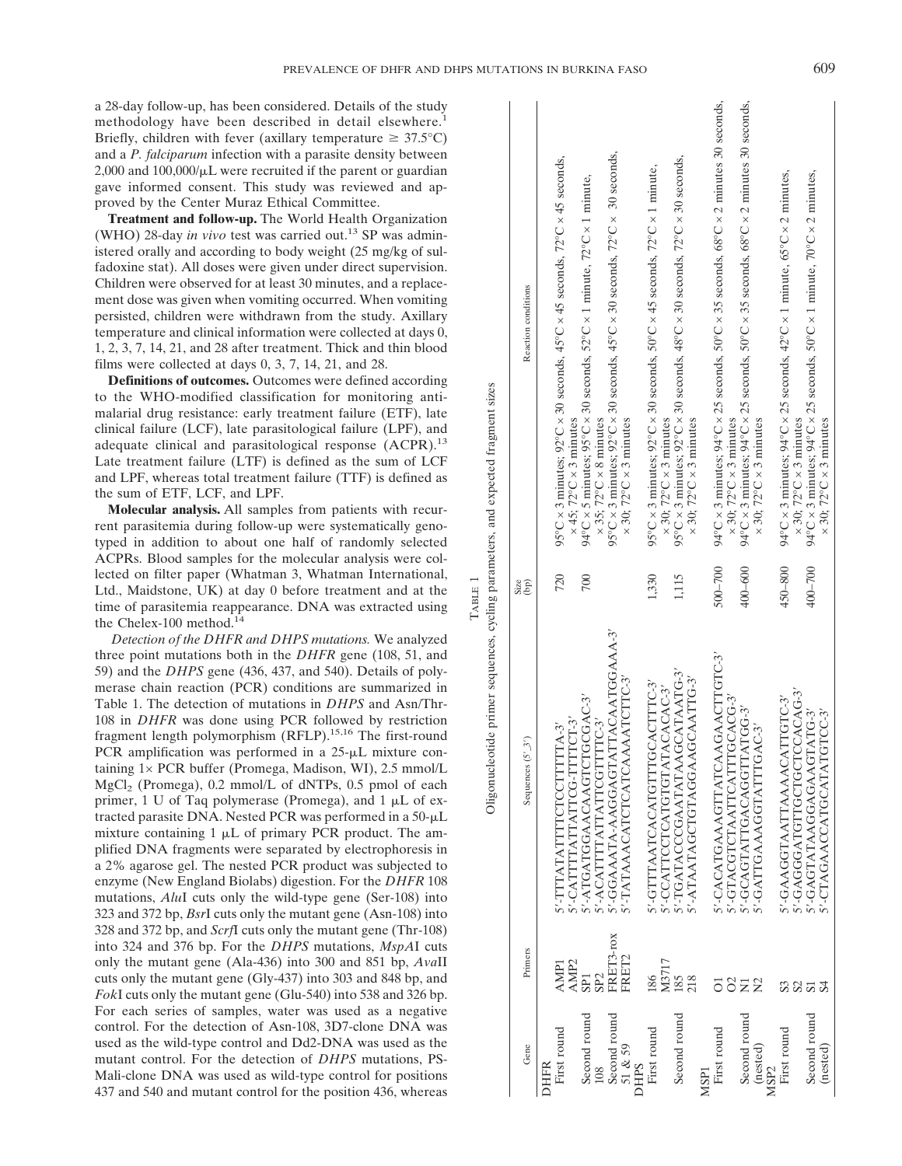a 28-day follow-up, has been considered. Details of the study methodology have been described in detail elsewhere.<sup>1</sup> Briefly, children with fever (axillary temperature  $\geq 37.5^{\circ}$ C) and a *P. falciparum* infection with a parasite density between  $2,000$  and  $100,000/\mu L$  were recruited if the parent or guardian gave informed consent. This study was reviewed and approved by the Center Muraz Ethical Committee.

**Treatment and follow-up.** The World Health Organization (WHO) 28-day *in vivo* test was carried out.<sup>13</sup> SP was administered orally and according to body weight (25 mg/kg of sulfadoxine stat). All doses were given under direct supervision. Children were observed for at least 30 minutes, and a replacement dose was given when vomiting occurred. When vomiting persisted, children were withdrawn from the study. Axillary temperature and clinical information were collected at days 0, 1, 2, 3, 7, 14, 21, and 28 after treatment. Thick and thin blood films were collected at days 0, 3, 7, 14, 21, and 28.

**Definitions of outcomes.** Outcomes were defined according to the WHO-modified classification for monitoring antimalarial drug resistance: early treatment failure (ETF), late clinical failure (LCF), late parasitological failure (LPF), and adequate clinical and parasitological response (ACPR).<sup>13</sup> Late treatment failure (LTF) is defined as the sum of LCF and LPF, whereas total treatment failure (TTF) is defined as the sum of ETF, LCF, and LPF.

**Molecular analysis.** All samples from patients with recurrent parasitemia during follow-up were systematically genotyped in addition to about one half of randomly selected ACPRs. Blood samples for the molecular analysis were collected on filter paper (Whatman 3, Whatman International, Ltd., Maidstone, UK) at day 0 before treatment and at the time of parasitemia reappearance. DNA was extracted using the Chelex-100 method. $14$ 

*Detection of the DHFR and DHPS mutations.* We analyzed three point mutations both in the *DHFR* gene (108, 51, and 59) and the *DHPS* gene (436, 437, and 540). Details of polymerase chain reaction (PCR) conditions are summarized in Table 1. The detection of mutations in *DHPS* and Asn/Thr-108 in *DHFR* was done using PCR followed by restriction fragment length polymorphism (RFLP).15,16 The first-round PCR amplification was performed in a  $25-\mu L$  mixture containing 1× PCR buffer (Promega, Madison, WI), 2.5 mmol/L MgCl<sub>2</sub> (Promega),  $0.2$  mmol/L of dNTPs,  $0.5$  pmol of each primer, 1 U of Taq polymerase (Promega), and 1  $\mu$ L of extracted parasite DNA. Nested PCR was performed in a  $50-\mu L$ mixture containing  $1 \mu L$  of primary PCR product. The amplified DNA fragments were separated by electrophoresis in a 2% agarose gel. The nested PCR product was subjected to enzyme (New England Biolabs) digestion. For the *DHFR* 108 mutations, *Alu*I cuts only the wild-type gene (Ser-108) into 323 and 372 bp, *Bsr*I cuts only the mutant gene (Asn-108) into 328 and 372 bp, and *Scrf*I cuts only the mutant gene (Thr-108) into 324 and 376 bp. For the *DHPS* mutations, *MspA*I cuts only the mutant gene (Ala-436) into 300 and 851 bp, *Ava*II cuts only the mutant gene (Gly-437) into 303 and 848 bp, and *Fok*I cuts only the mutant gene (Glu-540) into 538 and 326 bp. For each series of samples, water was used as a negative control. For the detection of Asn-108, 3D7-clone DNA was used as the wild-type control and Dd2-DNA was used as the mutant control. For the detection of *DHPS* mutations, PS-Mali-clone DNA was used as wild-type control for positions 437 and 540 and mutant control for the position 436, whereas

95°C × 3 minutes; 92°C × 30 seconds, 45°C × 30 seconds, 72°C × 30 seconds, 1,115 95°C × 3 minutes; 92°C × 30 seconds, 48°C × 30 seconds, 72°C × 30 seconds, 720 95°C × 3 minutes; 92°C × 30 seconds, 45°C × 45 seconds, 72°C × 45 seconds, 1,330 95°C × 3 minutes; 92°C × 30 seconds, 50°C × 45 seconds, 72°C × 1 minute, 700 94°C × 5 minutes; 95°C × 30 seconds, 52°C × 1 minute, 72°C × 1 minute, (bp) Reaction conditions Oligonucleotide primer sequences, cycling parameters, and expected fragment sizes Oligonucleotide primer sequences, cycling parameters, and expected fragment sizes  $\times$  45; 72°C  $\times$  3 minutes  $\times$  35; 72°C  $\times$  8 minutes  $\times$  30; 72°C  $\times$  3 minutes  $\times$  30; 72°C  $\times$  3 minutes  $\times$  30; 72°C  $\times$  3 minutes TABLE 1 Size  $\overline{\phantom{1}}$  $\tilde{c}$ 

ć

| Reaction conditions<br>$\binom{p}{p}$ |      | $95^{\circ}$ C × 3 minutes; $92^{\circ}$ C × 30 seconds, $45^{\circ}$ C × 45 seconds, $72^{\circ}$ C × 45 seconds,<br>$\times$ 45: 72°C $\times$ 3 minutes<br>720 | 94°C × 5 minutes; 95°C × 30 seconds, 52°C × 1 minute, 72°C × 1 minute,<br>700 | $\times$ 35; 72°C $\times$ 8 minutes | 95°C × 3 minutes; 92°C × 30 seconds, 45°C × 30 seconds, 72°C × 30 seconds, | $\times$ 30; 72°C $\times$ 3 minutes |             | 95°C × 3 minutes; 92°C × 30 seconds, 50°C × 45 seconds, 72°C × 1 minute,<br>1.330 | $\times$ 30; 72°C $\times$ 3 minutes | $95^{\circ}$ C × 3 minutes; $92^{\circ}$ C × 30 seconds, $48^{\circ}$ C × 30 seconds, $72^{\circ}$ C × 30 seconds,<br>1,115 | $\times$ 30; 72°C $\times$ 3 minutes |                  | $94^{\circ}$ C × 3 minutes; $94^{\circ}$ C × 25 seconds, 50°C × 35 seconds, 68°C × 2 minutes 30 seconds,<br>$500 - 700$ | $\times$ 30; 72°C $\times$ 3 minutes | 94°C × 3 minutes; 94°C × 25 seconds, 50°C × 35 seconds, 68°C × 2 minutes 30 seconds,<br>400-600 | $\times$ 30; 72°C $\times$ 3 minutes |                  | 94°C × 3 minutes; 94°C × 25 seconds, 42°C × 1 minute, $65^{\circ}$ C × 2 minutes,<br>450-800 | $\times$ 30; 72°C $\times$ 3 minutes | 94°C × 3 minutes; 94°C × 25 seconds, 50°C × 1 minute, 70°C × 2 minutes,<br>400-700 | $\times$ 30; 72°C $\times$ 3 minutes |
|---------------------------------------|------|-------------------------------------------------------------------------------------------------------------------------------------------------------------------|-------------------------------------------------------------------------------|--------------------------------------|----------------------------------------------------------------------------|--------------------------------------|-------------|-----------------------------------------------------------------------------------|--------------------------------------|-----------------------------------------------------------------------------------------------------------------------------|--------------------------------------|------------------|-------------------------------------------------------------------------------------------------------------------------|--------------------------------------|-------------------------------------------------------------------------------------------------|--------------------------------------|------------------|----------------------------------------------------------------------------------------------|--------------------------------------|------------------------------------------------------------------------------------|--------------------------------------|
| Sequences $(5'_{-}3')$                |      | S'-CATTITATTATTCG-TITTCT-3'<br>S'-TTTATATTTTCTCCTTTTTA-3'                                                                                                         | 5'-ATGATGGAACAAGTCTGCGAC-3'                                                   | 5'-ACATTTATTATTCGTTTC-3'             | 5'-GGAAATA-AAGGAGTATTACAATGGAAA-3'                                         | 5'-TATAAACATCTCATCAAAATCTTC-3'       |             | S'-GTTAATCACATGTTTGCACTTTC-3'                                                     | 5'-CCATTCCTCATGTATACACAC-3'          | 5'-TGATACCCGAATATAAGCATAATG-3'                                                                                              | 5'-ATAATAGCTGTAGGAAGCAATTG-3'        |                  | S'-CACATGAAAGTTATCAAGAACTTGTC-3'                                                                                        | 5'-GTACGTCTAATTCATTTGCACG-3'         | S'-GCAGTATTGACAGTTATGG-3'                                                                       | 5'-GATTGAAAGGTATTTGAC-3'             |                  | S'-GAAGGTAATTAAAACATTGTC-3'                                                                  | 5'-GAGGATGLIGCTCCACACAG-3            | 5'-GAGTATAAGAAGTATG-3'                                                             | 5'-CTAGAACCATGCATATGTCC-3'           |
| Primers                               |      | AMP <sub>2</sub><br><b>AMP1</b>                                                                                                                                   | SP <sub>1</sub>                                                               | SP <sub>2</sub>                      | FRET3-rox                                                                  | FRET2                                |             | 186                                                                               | M3717                                | 185                                                                                                                         | 218                                  |                  |                                                                                                                         | S                                    | ラ                                                                                               |                                      |                  |                                                                                              |                                      |                                                                                    |                                      |
| Gene                                  | DHFR | First round                                                                                                                                                       | Second round                                                                  | 108                                  | Second round                                                               | 51 & 59                              | <b>DHPS</b> | First round                                                                       |                                      | Second round                                                                                                                |                                      | MSP <sub>1</sub> | First round                                                                                                             |                                      | Second round                                                                                    | (nested)                             | MSP <sub>2</sub> | First round                                                                                  |                                      | Second round                                                                       | (nested)                             |

 $\overline{1}$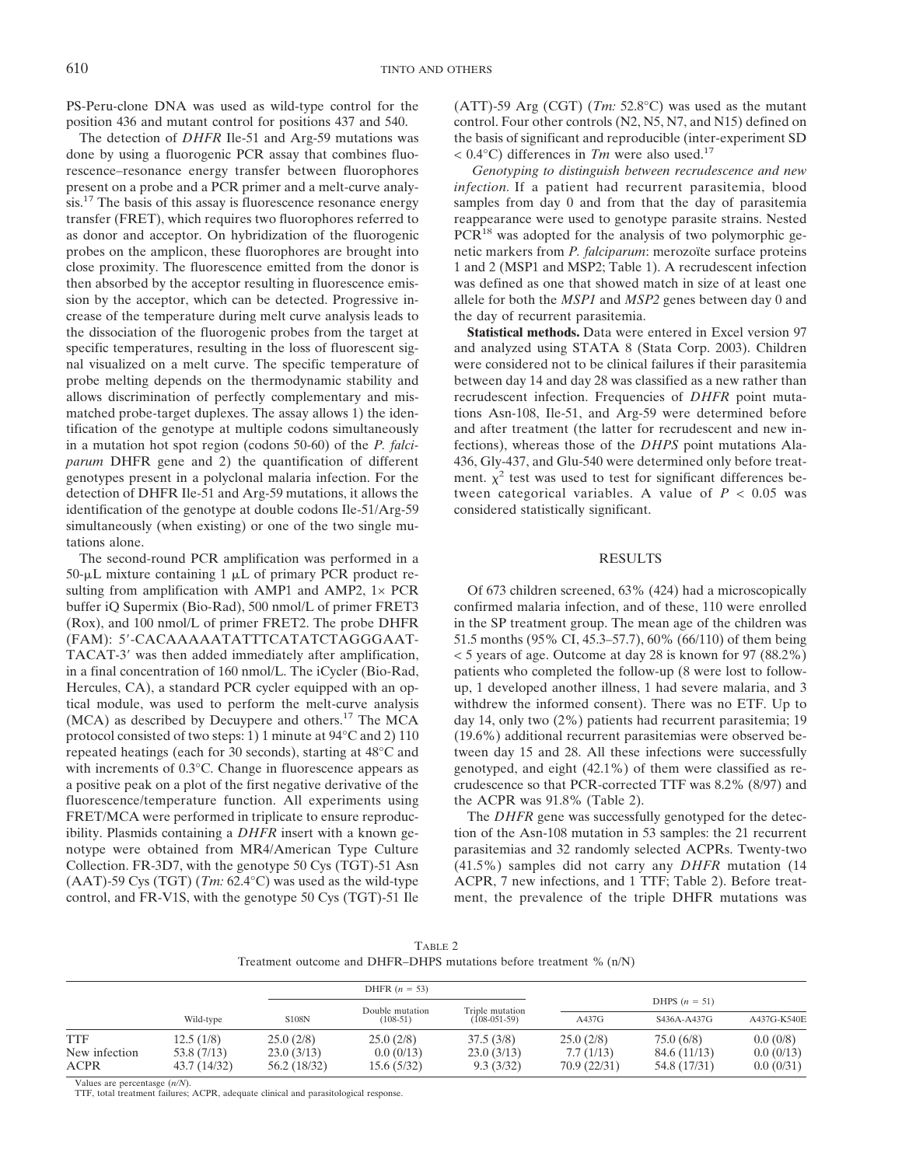PS-Peru-clone DNA was used as wild-type control for the position 436 and mutant control for positions 437 and 540.

The detection of *DHFR* Ile-51 and Arg-59 mutations was done by using a fluorogenic PCR assay that combines fluorescence–resonance energy transfer between fluorophores present on a probe and a PCR primer and a melt-curve analysis.<sup>17</sup> The basis of this assay is fluorescence resonance energy transfer (FRET), which requires two fluorophores referred to as donor and acceptor. On hybridization of the fluorogenic probes on the amplicon, these fluorophores are brought into close proximity. The fluorescence emitted from the donor is then absorbed by the acceptor resulting in fluorescence emission by the acceptor, which can be detected. Progressive increase of the temperature during melt curve analysis leads to the dissociation of the fluorogenic probes from the target at specific temperatures, resulting in the loss of fluorescent signal visualized on a melt curve. The specific temperature of probe melting depends on the thermodynamic stability and allows discrimination of perfectly complementary and mismatched probe-target duplexes. The assay allows 1) the identification of the genotype at multiple codons simultaneously in a mutation hot spot region (codons 50-60) of the *P. falciparum* DHFR gene and 2) the quantification of different genotypes present in a polyclonal malaria infection. For the detection of DHFR Ile-51 and Arg-59 mutations, it allows the identification of the genotype at double codons Ile-51/Arg-59 simultaneously (when existing) or one of the two single mutations alone.

The second-round PCR amplification was performed in a  $50$ - $\mu$ L mixture containing 1  $\mu$ L of primary PCR product resulting from amplification with AMP1 and AMP2,  $1 \times PCR$ buffer iQ Supermix (Bio-Rad), 500 nmol/L of primer FRET3 (Rox), and 100 nmol/L of primer FRET2. The probe DHFR (FAM): 5--CACAAAAATATTTCATATCTAGGGAAT-TACAT-3' was then added immediately after amplification, in a final concentration of 160 nmol/L. The iCycler (Bio-Rad, Hercules, CA), a standard PCR cycler equipped with an optical module, was used to perform the melt-curve analysis (MCA) as described by Decuypere and others.17 The MCA protocol consisted of two steps: 1) 1 minute at 94°C and 2) 110 repeated heatings (each for 30 seconds), starting at 48°C and with increments of 0.3°C. Change in fluorescence appears as a positive peak on a plot of the first negative derivative of the fluorescence/temperature function. All experiments using FRET/MCA were performed in triplicate to ensure reproducibility. Plasmids containing a *DHFR* insert with a known genotype were obtained from MR4/American Type Culture Collection. FR-3D7, with the genotype 50 Cys (TGT)-51 Asn (AAT)-59 Cys (TGT) (*Tm:* 62.4°C) was used as the wild-type control, and FR-V1S, with the genotype 50 Cys (TGT)-51 Ile (ATT)-59 Arg (CGT) (*Tm:* 52.8°C) was used as the mutant control. Four other controls (N2, N5, N7, and N15) defined on the basis of significant and reproducible (inter-experiment SD < 0.4°C) differences in *Tm* were also used.17

*Genotyping to distinguish between recrudescence and new infection.* If a patient had recurrent parasitemia, blood samples from day 0 and from that the day of parasitemia reappearance were used to genotype parasite strains. Nested PCR<sup>18</sup> was adopted for the analysis of two polymorphic genetic markers from *P. falciparum*: merozoïte surface proteins 1 and 2 (MSP1 and MSP2; Table 1). A recrudescent infection was defined as one that showed match in size of at least one allele for both the *MSP1* and *MSP2* genes between day 0 and the day of recurrent parasitemia.

**Statistical methods.** Data were entered in Excel version 97 and analyzed using STATA 8 (Stata Corp. 2003). Children were considered not to be clinical failures if their parasitemia between day 14 and day 28 was classified as a new rather than recrudescent infection. Frequencies of *DHFR* point mutations Asn-108, Ile-51, and Arg-59 were determined before and after treatment (the latter for recrudescent and new infections), whereas those of the *DHPS* point mutations Ala-436, Gly-437, and Glu-540 were determined only before treatment.  $\chi^2$  test was used to test for significant differences between categorical variables. A value of  $P < 0.05$  was considered statistically significant.

## RESULTS

Of 673 children screened, 63% (424) had a microscopically confirmed malaria infection, and of these, 110 were enrolled in the SP treatment group. The mean age of the children was 51.5 months (95% CI, 45.3–57.7), 60% (66/110) of them being < 5 years of age. Outcome at day 28 is known for 97 (88.2%) patients who completed the follow-up (8 were lost to followup, 1 developed another illness, 1 had severe malaria, and 3 withdrew the informed consent). There was no ETF. Up to day 14, only two (2%) patients had recurrent parasitemia; 19 (19.6%) additional recurrent parasitemias were observed between day 15 and 28. All these infections were successfully genotyped, and eight (42.1%) of them were classified as recrudescence so that PCR-corrected TTF was 8.2% (8/97) and the ACPR was 91.8% (Table 2).

The *DHFR* gene was successfully genotyped for the detection of the Asn-108 mutation in 53 samples: the 21 recurrent parasitemias and 32 randomly selected ACPRs. Twenty-two (41.5%) samples did not carry any *DHFR* mutation (14 ACPR, 7 new infections, and 1 TTF; Table 2). Before treatment, the prevalence of the triple DHFR mutations was

| TABLE 2                                                               |  |
|-----------------------------------------------------------------------|--|
| Treatment outcome and DHFR-DHPS mutations before treatment $\%$ (n/N) |  |

|                              |                             |                            | DHFR $(n = 53)$               |                                   |                           |                              |                        |  |
|------------------------------|-----------------------------|----------------------------|-------------------------------|-----------------------------------|---------------------------|------------------------------|------------------------|--|
|                              |                             |                            |                               |                                   | DHPS $(n = 51)$           |                              |                        |  |
|                              | Wild-type                   | <b>S108N</b>               | Double mutation<br>$(108-51)$ | Triple mutation<br>$(108-051-59)$ | A437G                     | S436A-A437G                  | A437G-K540E            |  |
| TTF                          | 12.5(1/8)                   | 25.0(2/8)                  | 25.0(2/8)                     | 37.5(3/8)                         | 25.0(2/8)                 | 75.0(6/8)                    | 0.0(0/8)               |  |
| New infection<br><b>ACPR</b> | 53.8 (7/13)<br>43.7 (14/32) | 23.0(3/13)<br>56.2 (18/32) | 0.0(0/13)<br>15.6(5/32)       | 23.0(3/13)<br>9.3(3/32)           | 7.7(1/13)<br>70.9 (22/31) | 84.6 (11/13)<br>54.8 (17/31) | 0.0(0/13)<br>0.0(0/31) |  |

Values are percentasge (*n/N*).

TTF, total treatment failures; ACPR, adequate clinical and parasitological response.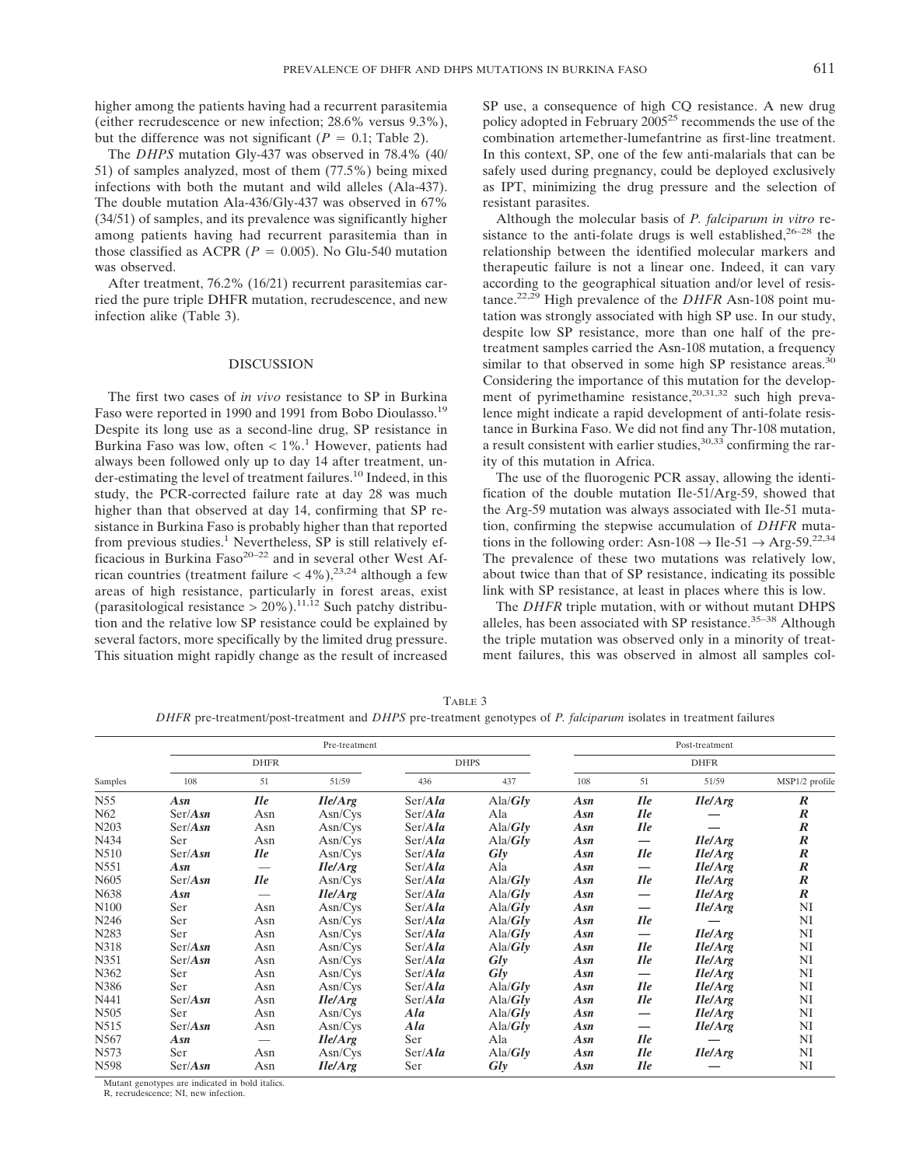higher among the patients having had a recurrent parasitemia (either recrudescence or new infection; 28.6% versus 9.3%), but the difference was not significant ( $P = 0.1$ ; Table 2).

The *DHPS* mutation Gly-437 was observed in 78.4% (40/ 51) of samples analyzed, most of them (77.5%) being mixed infections with both the mutant and wild alleles (Ala-437). The double mutation Ala-436/Gly-437 was observed in 67% (34/51) of samples, and its prevalence was significantly higher among patients having had recurrent parasitemia than in those classified as ACPR ( $P = 0.005$ ). No Glu-540 mutation was observed.

After treatment, 76.2% (16/21) recurrent parasitemias carried the pure triple DHFR mutation, recrudescence, and new infection alike (Table 3).

### DISCUSSION

The first two cases of *in vivo* resistance to SP in Burkina Faso were reported in 1990 and 1991 from Bobo Dioulasso.<sup>19</sup> Despite its long use as a second-line drug, SP resistance in Burkina Faso was low, often  $< 1\%$ .<sup>1</sup> However, patients had always been followed only up to day 14 after treatment, under-estimating the level of treatment failures.10 Indeed, in this study, the PCR-corrected failure rate at day 28 was much higher than that observed at day 14, confirming that SP resistance in Burkina Faso is probably higher than that reported from previous studies. $<sup>1</sup>$  Nevertheless, SP is still relatively ef-</sup> ficacious in Burkina Faso<sup>20-22</sup> and in several other West African countries (treatment failure  $<$  4%),<sup>23,24</sup> although a few areas of high resistance, particularly in forest areas, exist (parasitological resistance  $> 20\%$ ).<sup>11,12</sup> Such patchy distribution and the relative low SP resistance could be explained by several factors, more specifically by the limited drug pressure. This situation might rapidly change as the result of increased

SP use, a consequence of high CQ resistance. A new drug policy adopted in February 2005<sup>25</sup> recommends the use of the combination artemether-lumefantrine as first-line treatment. In this context, SP, one of the few anti-malarials that can be safely used during pregnancy, could be deployed exclusively as IPT, minimizing the drug pressure and the selection of resistant parasites.

Although the molecular basis of *P. falciparum in vitro* resistance to the anti-folate drugs is well established, $26-28$  the relationship between the identified molecular markers and therapeutic failure is not a linear one. Indeed, it can vary according to the geographical situation and/or level of resistance.22,29 High prevalence of the *DHFR* Asn-108 point mutation was strongly associated with high SP use. In our study, despite low SP resistance, more than one half of the pretreatment samples carried the Asn-108 mutation, a frequency similar to that observed in some high SP resistance areas.<sup>30</sup> Considering the importance of this mutation for the development of pyrimethamine resistance,<sup>20,31,32</sup> such high prevalence might indicate a rapid development of anti-folate resistance in Burkina Faso. We did not find any Thr-108 mutation, a result consistent with earlier studies,  $30,33$  confirming the rarity of this mutation in Africa.

The use of the fluorogenic PCR assay, allowing the identification of the double mutation Ile-51/Arg-59, showed that the Arg-59 mutation was always associated with Ile-51 mutation, confirming the stepwise accumulation of *DHFR* mutations in the following order: Asn-108  $\rightarrow$  Ile-51  $\rightarrow$  Arg-59.<sup>22,34</sup> The prevalence of these two mutations was relatively low, about twice than that of SP resistance, indicating its possible link with SP resistance, at least in places where this is low.

The *DHFR* triple mutation, with or without mutant DHPS alleles, has been associated with SP resistance.<sup>35-38</sup> Although the triple mutation was observed only in a minority of treatment failures, this was observed in almost all samples col-

TABLE 3 *DHFR* pre-treatment/post-treatment and *DHPS* pre-treatment genotypes of *P. falciparum* isolates in treatment failures

|                   |                  |             | Pre-treatment                              | Post-treatment            |                                  |     |                                   |                                            |                  |  |
|-------------------|------------------|-------------|--------------------------------------------|---------------------------|----------------------------------|-----|-----------------------------------|--------------------------------------------|------------------|--|
|                   |                  | <b>DHFR</b> |                                            |                           | <b>DHPS</b>                      |     |                                   | <b>DHFR</b>                                |                  |  |
| Samples           | 108              | 51          | 51/59                                      | 436                       | 437                              | 108 | 51                                | 51/59                                      | MSP1/2 profile   |  |
| N55               | Asn              | <i>Ile</i>  | $I\left\langle \frac{d}{dx} \right\rangle$ | $\text{Ser}/Ala$          | $\text{Ala}/\text{Gly}$          | Asn | $I$ le                            | $I\left\langle A\right\rangle$ rg          | $\boldsymbol{R}$ |  |
| N <sub>62</sub>   | Ser/Asn          | Asn         | Asn/Cvs                                    | $\text{Ser}/A\textit{la}$ | Ala                              | Asn | $I$ le                            |                                            | $\boldsymbol{R}$ |  |
| N <sub>20</sub> 3 | $\text{Ser}/Asn$ | Asn         | Asn/Cvs                                    | $\text{Ser}/Ala$          | $\text{Ala}/\text{G}lv$          | Asn | $I$ le                            |                                            | $\boldsymbol{R}$ |  |
| N434              | Ser              | Asn         | Asn/Cys                                    | $\text{Ser}/Ala$          | $\text{Ala}/\text{Gly}$          | Asn | $\overbrace{\phantom{123221111}}$ | $I\left\vert e/Arg\right\vert$             | $\pmb{R}$        |  |
| N510              | $\text{Ser}/Asn$ | Ile         | Asn/Cvs                                    | $\text{Ser}/Ala$          | $\boldsymbol{G}\boldsymbol{l}$ y | Asn | Ile                               | $I\left\vert e/Arg\right\vert$             | $\pmb{R}$        |  |
| N551              | Asn              |             | $I\left\langle \frac{d}{dx} \right\rangle$ | $\text{Ser}/Ala$          | Ala                              | Asn |                                   | $I\left\langle \frac{d}{dx} \right\rangle$ | $\boldsymbol{R}$ |  |
| N605              | Ser/Asn          | $I$ le      | Asn/Cvs                                    | $\text{Ser}/Ala$          | $\text{Ala}/\text{G}lv$          | Asn | $I$ le                            | $I\left\langle A\right\rangle$ rg          | $\boldsymbol{R}$ |  |
| N638              | Asn              |             | $I\left\langle \frac{d}{dx} \right\rangle$ | $\text{Ser}/Ala$          | $\text{Ala}/\text{G}lv$          | Asn | $\overline{\phantom{0}}$          | $I\left\langle A\right\rangle$             | $\boldsymbol{R}$ |  |
| N100              | Ser              | Asn         | Asn/Cvs                                    | $\text{Ser}/Ala$          | $\text{Ala}/\text{G}lv$          | Asn |                                   | $I\left\langle A\right\rangle$ rg          | NI               |  |
| N246              | Ser              | Asn         | Asn/Cvs                                    | $\text{Ser}/Ala$          | $\text{Ala}/\text{G}lv$          | Asn | $I$ le                            |                                            | NI               |  |
| N283              | Ser              | Asn         | Asn/Cvs                                    | $\text{Ser}/Ala$          | $\text{Ala}/\text{G}lv$          | Asn | $\overline{\phantom{0}}$          | $I\left\langle A\right\rangle$ rg          | NI               |  |
| N318              | Ser/Asn          | Asn         | Asn/Cvs                                    | $\text{Ser}/Ala$          | $\text{Ala}/\text{Glv}$          | Asn | $I$ le                            | $I\left\vert e/Arg\right\vert$             | NI               |  |
| N351              | $\text{Ser}/Asn$ | Asn         | Asn/Cvs                                    | $\text{Ser}/Ala$          | Glv                              | Asn | $I$ le                            | $I\left\langle A\right\rangle$             | NI               |  |
| N362              | Ser              | Asn         | Asn/Cvs                                    | $\text{Ser}/Ala$          | $\frac{G}{v}$                    | Asn | $\hspace{0.05cm}$                 | $I\left\langle A\right\rangle$ rg          | NI               |  |
| N386              | Ser              | Asn         | Asn/Cvs                                    | $\text{Ser}/Ala$          | $\text{Ala/Glv}$                 | Asn | $I$ le                            | $I\left\langle A\right\rangle$ rg          | NI               |  |
| N441              | $\text{Ser}/Asn$ | Asn         | $I\left\langle \frac{d}{dx} \right\rangle$ | $\text{Ser}/Ala$          | $\text{Ala}/\text{Glv}$          | Asn | $I$ le                            | $I\left\vert e/Arg\right\vert$             | NI               |  |
| N505              | Ser              | Asn         | Asn/Cvs                                    | Ala                       | $\text{Ala/Glv}$                 | Asn |                                   | $I\left\vert e/Arg\right\vert$             | NI               |  |
| N515              | $\text{Ser}/Asn$ | Asn         | Asn/Cvs                                    | Ala                       | $\text{Ala}/\text{Gly}$          | Asn | —                                 | $I\left\langle \frac{d}{dx} \right\rangle$ | NI               |  |
| N567              | Asn              |             | $I\left\langle \frac{d}{dx} \right\rangle$ | Ser                       | Ala                              | Asn | $I$ le                            |                                            | NI               |  |
| N573              | Ser:             | Asn         | Asn/Cys                                    | $\text{Ser}/Ala$          | $\text{Ala}/\text{Gly}$          | Asn | $I$ le                            | $I\left\langle \frac{d}{dx} \right\rangle$ | NI               |  |
| N598              | $\text{Ser}/Asn$ | Asn         | $I\left Ie/Arg\right.$                     | Ser                       | $\boldsymbol{G}\boldsymbol{l}$ y | Asn | $I$ le                            |                                            | NI               |  |

Mutant genotypes are indicated in bold italics.

R, recrudescence; NI, new infection.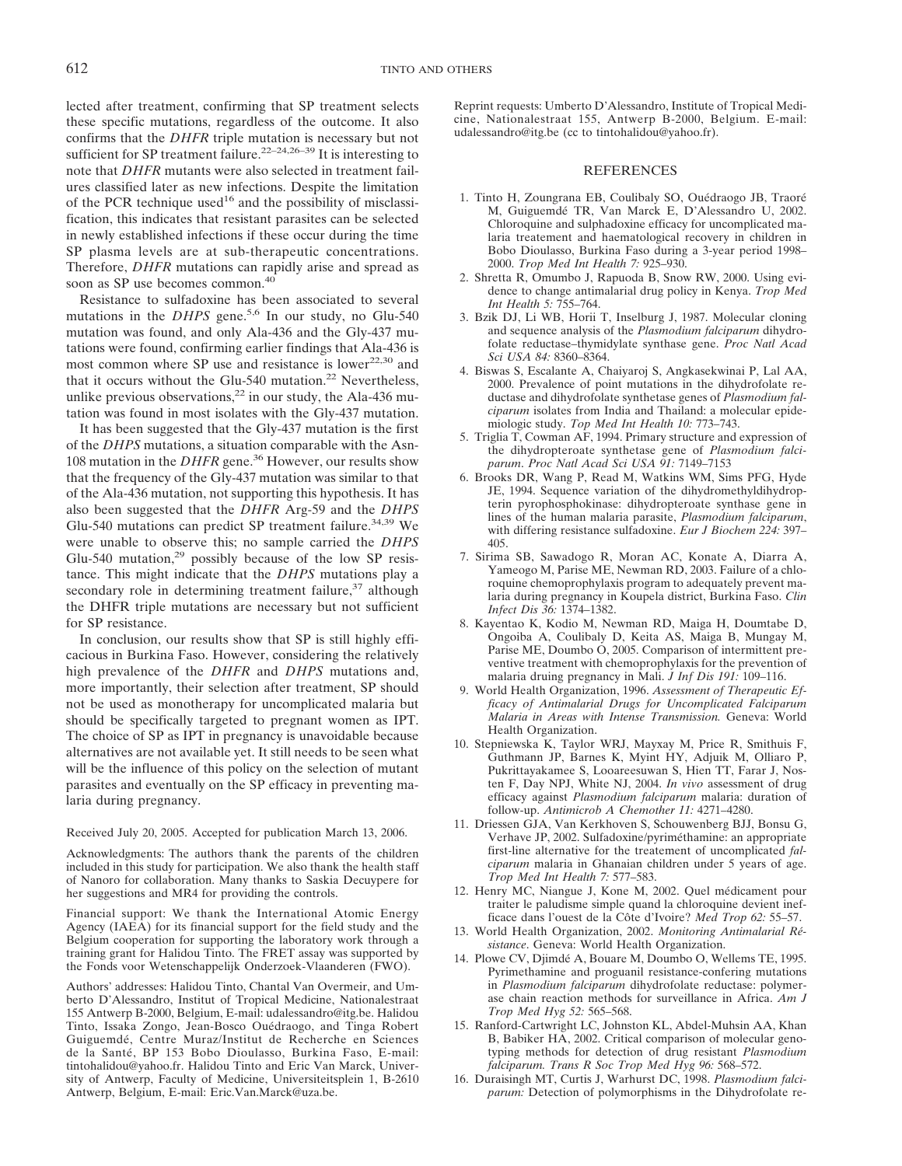lected after treatment, confirming that SP treatment selects these specific mutations, regardless of the outcome. It also confirms that the *DHFR* triple mutation is necessary but not sufficient for SP treatment failure.<sup>22–24,26–39</sup> It is interesting to note that *DHFR* mutants were also selected in treatment failures classified later as new infections. Despite the limitation of the PCR technique used<sup>16</sup> and the possibility of misclassification, this indicates that resistant parasites can be selected in newly established infections if these occur during the time SP plasma levels are at sub-therapeutic concentrations. Therefore, *DHFR* mutations can rapidly arise and spread as soon as SP use becomes common.<sup>40</sup>

Resistance to sulfadoxine has been associated to several mutations in the *DHPS* gene.<sup>5,6</sup> In our study, no Glu-540 mutation was found, and only Ala-436 and the Gly-437 mutations were found, confirming earlier findings that Ala-436 is most common where SP use and resistance is lower<sup>22,30</sup> and that it occurs without the Glu-540 mutation.<sup>22</sup> Nevertheless, unlike previous observations, $2^2$  in our study, the Ala-436 mutation was found in most isolates with the Gly-437 mutation.

It has been suggested that the Gly-437 mutation is the first of the *DHPS* mutations, a situation comparable with the Asn-108 mutation in the *DHFR* gene.36 However, our results show that the frequency of the Gly-437 mutation was similar to that of the Ala-436 mutation, not supporting this hypothesis. It has also been suggested that the *DHFR* Arg-59 and the *DHPS* Glu-540 mutations can predict SP treatment failure.<sup>34,39</sup> We were unable to observe this; no sample carried the *DHPS* Glu-540 mutation,<sup>29</sup> possibly because of the low SP resistance. This might indicate that the *DHPS* mutations play a secondary role in determining treatment failure, $37$  although the DHFR triple mutations are necessary but not sufficient for SP resistance.

In conclusion, our results show that SP is still highly efficacious in Burkina Faso. However, considering the relatively high prevalence of the *DHFR* and *DHPS* mutations and, more importantly, their selection after treatment, SP should not be used as monotherapy for uncomplicated malaria but should be specifically targeted to pregnant women as IPT. The choice of SP as IPT in pregnancy is unavoidable because alternatives are not available yet. It still needs to be seen what will be the influence of this policy on the selection of mutant parasites and eventually on the SP efficacy in preventing malaria during pregnancy.

Received July 20, 2005. Accepted for publication March 13, 2006.

Acknowledgments: The authors thank the parents of the children included in this study for participation. We also thank the health staff of Nanoro for collaboration. Many thanks to Saskia Decuypere for her suggestions and MR4 for providing the controls.

Financial support: We thank the International Atomic Energy Agency (IAEA) for its financial support for the field study and the Belgium cooperation for supporting the laboratory work through a training grant for Halidou Tinto. The FRET assay was supported by the Fonds voor Wetenschappelijk Onderzoek-Vlaanderen (FWO).

Authors' addresses: Halidou Tinto, Chantal Van Overmeir, and Umberto D'Alessandro, Institut of Tropical Medicine, Nationalestraat 155 Antwerp B-2000, Belgium, E-mail: udalessandro@itg.be. Halidou Tinto, Issaka Zongo, Jean-Bosco Ouédraogo, and Tinga Robert Guiguemdé, Centre Muraz/Institut de Recherche en Sciences de la Santé, BP 153 Bobo Dioulasso, Burkina Faso, E-mail: tintohalidou@yahoo.fr. Halidou Tinto and Eric Van Marck, University of Antwerp, Faculty of Medicine, Universiteitsplein 1, B-2610 Antwerp, Belgium, E-mail: Eric.Van.Marck@uza.be.

Reprint requests: Umberto D'Alessandro, Institute of Tropical Medicine, Nationalestraat 155, Antwerp B-2000, Belgium. E-mail: udalessandro@itg.be (cc to tintohalidou@yahoo.fr).

#### REFERENCES

- 1. Tinto H, Zoungrana EB, Coulibaly SO, Ouédraogo JB, Traoré M, Guiguemdé TR, Van Marck E, D'Alessandro U, 2002. Chloroquine and sulphadoxine efficacy for uncomplicated malaria treatement and haematological recovery in children in Bobo Dioulasso, Burkina Faso during a 3-year period 1998– 2000. *Trop Med Int Health 7:* 925–930.
- 2. Shretta R, Omumbo J, Rapuoda B, Snow RW, 2000. Using evidence to change antimalarial drug policy in Kenya. *Trop Med Int Health 5:* 755–764.
- 3. Bzik DJ, Li WB, Horii T, Inselburg J, 1987. Molecular cloning and sequence analysis of the *Plasmodium falciparum* dihydrofolate reductase–thymidylate synthase gene. *Proc Natl Acad Sci USA 84:* 8360–8364.
- 4. Biswas S, Escalante A, Chaiyaroj S, Angkasekwinai P, Lal AA, 2000. Prevalence of point mutations in the dihydrofolate reductase and dihydrofolate synthetase genes of *Plasmodium falciparum* isolates from India and Thailand: a molecular epidemiologic study. *Top Med Int Health 10:* 773–743.
- 5. Triglia T, Cowman AF, 1994. Primary structure and expression of the dihydropteroate synthetase gene of *Plasmodium falciparum*. *Proc Natl Acad Sci USA 91:* 7149–7153
- 6. Brooks DR, Wang P, Read M, Watkins WM, Sims PFG, Hyde JE, 1994. Sequence variation of the dihydromethyldihydropterin pyrophosphokinase: dihydropteroate synthase gene in lines of the human malaria parasite, *Plasmodium falciparum*, with differing resistance sulfadoxine. *Eur J Biochem 224:* 397– 405.
- 7. Sirima SB, Sawadogo R, Moran AC, Konate A, Diarra A, Yameogo M, Parise ME, Newman RD, 2003. Failure of a chloroquine chemoprophylaxis program to adequately prevent malaria during pregnancy in Koupela district, Burkina Faso. *Clin Infect Dis 36:* 1374–1382.
- 8. Kayentao K, Kodio M, Newman RD, Maiga H, Doumtabe D, Ongoiba A, Coulibaly D, Keita AS, Maiga B, Mungay M, Parise ME, Doumbo O, 2005. Comparison of intermittent preventive treatment with chemoprophylaxis for the prevention of malaria druing pregnancy in Mali. *J Inf Dis 191:* 109–116.
- 9. World Health Organization, 1996. *Assessment of Therapeutic Efficacy of Antimalarial Drugs for Uncomplicated Falciparum Malaria in Areas with Intense Transmission.* Geneva: World Health Organization.
- 10. Stepniewska K, Taylor WRJ, Mayxay M, Price R, Smithuis F, Guthmann JP, Barnes K, Myint HY, Adjuik M, Olliaro P, Pukrittayakamee S, Looareesuwan S, Hien TT, Farar J, Nosten F, Day NPJ, White NJ, 2004. *In vivo* assessment of drug efficacy against *Plasmodium falciparum* malaria: duration of follow-up. *Antimicrob A Chemother 11:* 4271–4280.
- 11. Driessen GJA, Van Kerkhoven S, Schouwenberg BJJ, Bonsu G, Verhave JP, 2002. Sulfadoxine/pyriméthamine: an appropriate first-line alternative for the treatement of uncomplicated *falciparum* malaria in Ghanaian children under 5 years of age. *Trop Med Int Health 7:* 577–583.
- 12. Henry MC, Niangue J, Kone M, 2002. Quel médicament pour traiter le paludisme simple quand la chloroquine devient inefficace dans l'ouest de la Côte d'Ivoire? *Med Trop 62:* 55–57.
- 13. World Health Organization, 2002. *Monitoring Antimalarial Résistance*. Geneva: World Health Organization.
- 14. Plowe CV, Djimdé A, Bouare M, Doumbo O, Wellems TE, 1995. Pyrimethamine and proguanil resistance-confering mutations in *Plasmodium falciparum* dihydrofolate reductase: polymerase chain reaction methods for surveillance in Africa. *Am J Trop Med Hyg 52:* 565–568.
- 15. Ranford-Cartwright LC, Johnston KL, Abdel-Muhsin AA, Khan B, Babiker HA, 2002. Critical comparison of molecular genotyping methods for detection of drug resistant *Plasmodium falciparum. Trans R Soc Trop Med Hyg 96:* 568–572.
- 16. Duraisingh MT, Curtis J, Warhurst DC, 1998. *Plasmodium falciparum:* Detection of polymorphisms in the Dihydrofolate re-